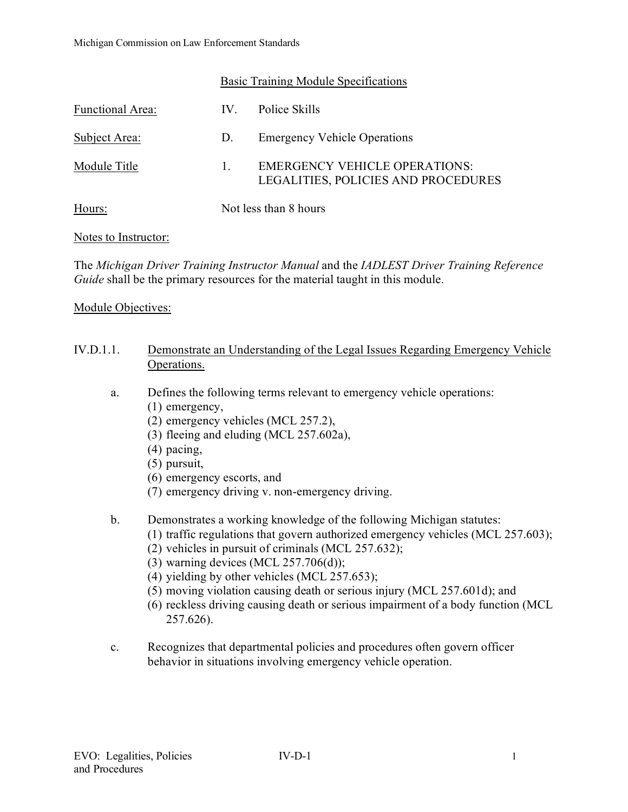|                         | Basic Training Module Specifications |                                                                             |
|-------------------------|--------------------------------------|-----------------------------------------------------------------------------|
| <b>Functional Area:</b> | IV.                                  | Police Skills                                                               |
| Subject Area:           | D.                                   | <b>Emergency Vehicle Operations</b>                                         |
| Module Title            | 1.                                   | <b>EMERGENCY VEHICLE OPERATIONS:</b><br>LEGALITIES, POLICIES AND PROCEDURES |
| Hours:                  | Not less than 8 hours                |                                                                             |

### Notes to Instructor:

The *Michigan Driver Training Instructor Manual* and the *IADLEST Driver Training Reference Guide* shall be the primary resources for the material taught in this module.

### Module Objectives:

| IV.D.1.1. | Demonstrate an Understanding of the Legal Issues Regarding Emergency Vehicle |  |
|-----------|------------------------------------------------------------------------------|--|
|           | Operations.                                                                  |  |

- a. Defines the following terms relevant to emergency vehicle operations:
	- (1) emergency,
	- (2) emergency vehicles (MCL 257.2),
	- (3) fleeing and eluding (MCL 257.602a),
	- (4) pacing,
	- (5) pursuit,
	- (6) emergency escorts, and
	- (7) emergency driving v. non-emergency driving.
- b. Demonstrates a working knowledge of the following Michigan statutes:
	- (1) traffic regulations that govern authorized emergency vehicles (MCL 257.603);
	- (2) vehicles in pursuit of criminals (MCL 257.632);
	- (3) warning devices (MCL  $257.706(d)$ );
	- (4) yielding by other vehicles (MCL 257.653);
	- (5) moving violation causing death or serious injury (MCL 257.601d); and
	- (6) reckless driving causing death or serious impairment of a body function (MCL 257.626).
- c. Recognizes that departmental policies and procedures often govern officer behavior in situations involving emergency vehicle operation.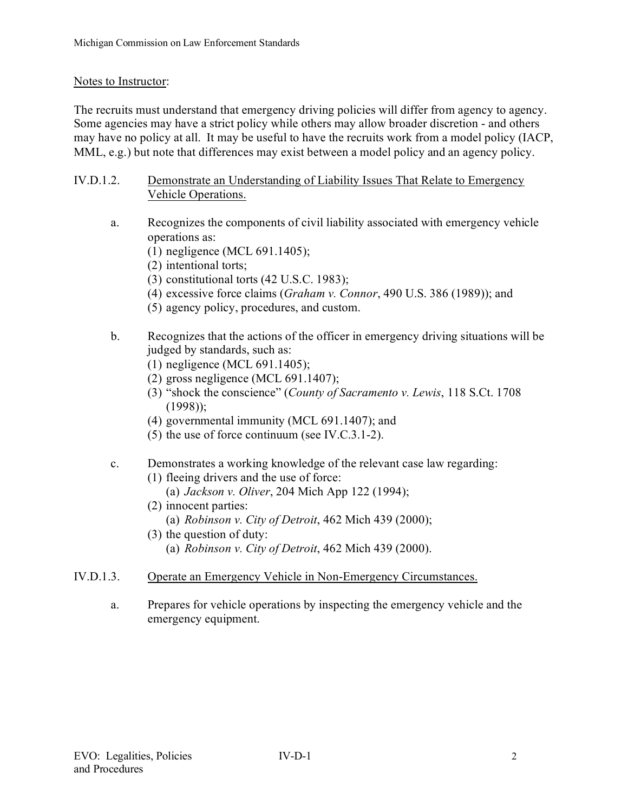# Notes to Instructor:

The recruits must understand that emergency driving policies will differ from agency to agency. Some agencies may have a strict policy while others may allow broader discretion - and others may have no policy at all. It may be useful to have the recruits work from a model policy (IACP, MML, e.g.) but note that differences may exist between a model policy and an agency policy.

- IV.D.1.2. Demonstrate an Understanding of Liability Issues That Relate to Emergency Vehicle Operations.
	- a. Recognizes the components of civil liability associated with emergency vehicle operations as:
		- (1) negligence (MCL 691.1405);
		- (2) intentional torts;
		- (3) constitutional torts (42 U.S.C. 1983);
		- (4) excessive force claims (*Graham v. Connor*, 490 U.S. 386 (1989)); and
		- (5) agency policy, procedures, and custom.
	- b. Recognizes that the actions of the officer in emergency driving situations will be judged by standards, such as:
		- (1) negligence (MCL 691.1405);
		- (2) gross negligence (MCL 691.1407);
		- (3) "shock the conscience" (*County of Sacramento v. Lewis*, 118 S.Ct. 1708 (1998));
		- (4) governmental immunity (MCL 691.1407); and
		- (5) the use of force continuum (see IV.C.3.1-2).
	- c. Demonstrates a working knowledge of the relevant case law regarding:
		- (1) fleeing drivers and the use of force:
			- (a) *Jackson v. Oliver*, 204 Mich App 122 (1994);
		- (2) innocent parties: (a) *Robinson v. City of Detroit*, 462 Mich 439 (2000);
		- (3) the question of duty:
			- (a) *Robinson v. City of Detroit*, 462 Mich 439 (2000).
- IV.D.1.3. Operate an Emergency Vehicle in Non-Emergency Circumstances.
	- a. Prepares for vehicle operations by inspecting the emergency vehicle and the emergency equipment.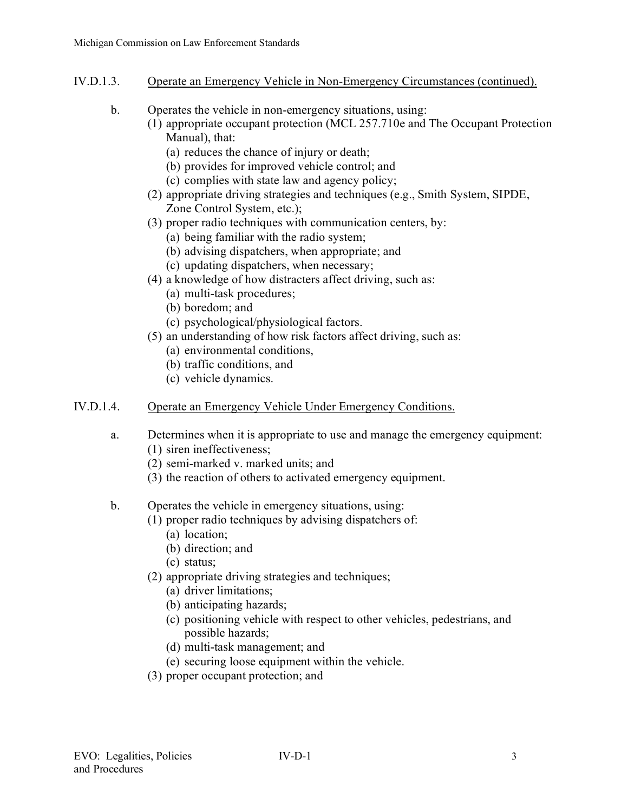## IV.D.1.3. Operate an Emergency Vehicle in Non-Emergency Circumstances (continued).

- b. Operates the vehicle in non-emergency situations, using:
	- (1) appropriate occupant protection (MCL 257.710e and The Occupant Protection Manual), that:
		- (a) reduces the chance of injury or death;
		- (b) provides for improved vehicle control; and
		- (c) complies with state law and agency policy;
	- (2) appropriate driving strategies and techniques (e.g., Smith System, SIPDE, Zone Control System, etc.);
	- (3) proper radio techniques with communication centers, by:
		- (a) being familiar with the radio system;
		- (b) advising dispatchers, when appropriate; and
		- (c) updating dispatchers, when necessary;
	- (4) a knowledge of how distracters affect driving, such as:
		- (a) multi-task procedures;
		- (b) boredom; and
		- (c) psychological/physiological factors.
	- (5) an understanding of how risk factors affect driving, such as:
		- (a) environmental conditions,
		- (b) traffic conditions, and
		- (c) vehicle dynamics.

# IV.D.1.4. Operate an Emergency Vehicle Under Emergency Conditions.

- a. Determines when it is appropriate to use and manage the emergency equipment: (1) siren ineffectiveness;
	- (2) semi-marked v. marked units; and
	- (3) the reaction of others to activated emergency equipment.

# b. Operates the vehicle in emergency situations, using:

- (1) proper radio techniques by advising dispatchers of:
	- (a) location;
	- (b) direction; and
	- (c) status;
- (2) appropriate driving strategies and techniques;
	- (a) driver limitations;
	- (b) anticipating hazards;
	- (c) positioning vehicle with respect to other vehicles, pedestrians, and possible hazards;
	- (d) multi-task management; and
	- (e) securing loose equipment within the vehicle.
- (3) proper occupant protection; and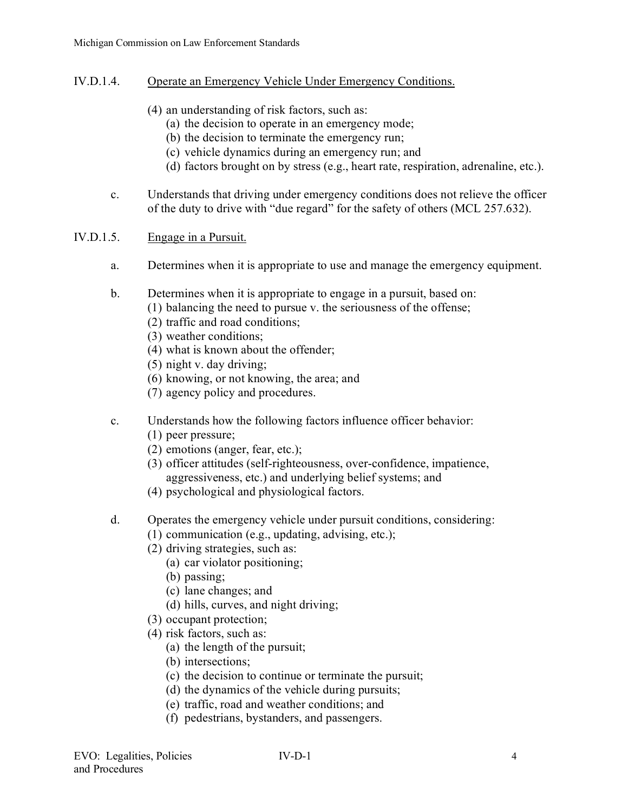- IV.D.1.4. Operate an Emergency Vehicle Under Emergency Conditions.
	- (4) an understanding of risk factors, such as:
		- (a) the decision to operate in an emergency mode;
		- (b) the decision to terminate the emergency run;
		- (c) vehicle dynamics during an emergency run; and
		- (d) factors brought on by stress (e.g., heart rate, respiration, adrenaline, etc.).
	- c. Understands that driving under emergency conditions does not relieve the officer of the duty to drive with "due regard" for the safety of others (MCL 257.632).

### IV.D.1.5. Engage in a Pursuit.

- a. Determines when it is appropriate to use and manage the emergency equipment.
- b. Determines when it is appropriate to engage in a pursuit, based on:
	- (1) balancing the need to pursue v. the seriousness of the offense;
	- (2) traffic and road conditions;
	- (3) weather conditions;
	- (4) what is known about the offender;
	- (5) night v. day driving;
	- (6) knowing, or not knowing, the area; and
	- (7) agency policy and procedures.
- c. Understands how the following factors influence officer behavior:
	- (1) peer pressure;
	- (2) emotions (anger, fear, etc.);
	- (3) officer attitudes (self-righteousness, over-confidence, impatience, aggressiveness, etc.) and underlying belief systems; and
	- (4) psychological and physiological factors.
- d. Operates the emergency vehicle under pursuit conditions, considering:
	- (1) communication (e.g., updating, advising, etc.);
	- (2) driving strategies, such as:
		- (a) car violator positioning;
		- (b) passing;
		- (c) lane changes; and
		- (d) hills, curves, and night driving;
	- (3) occupant protection;
	- (4) risk factors, such as:
		- (a) the length of the pursuit;
		- (b) intersections;
		- (c) the decision to continue or terminate the pursuit;
		- (d) the dynamics of the vehicle during pursuits;
		- (e) traffic, road and weather conditions; and
		- (f) pedestrians, bystanders, and passengers.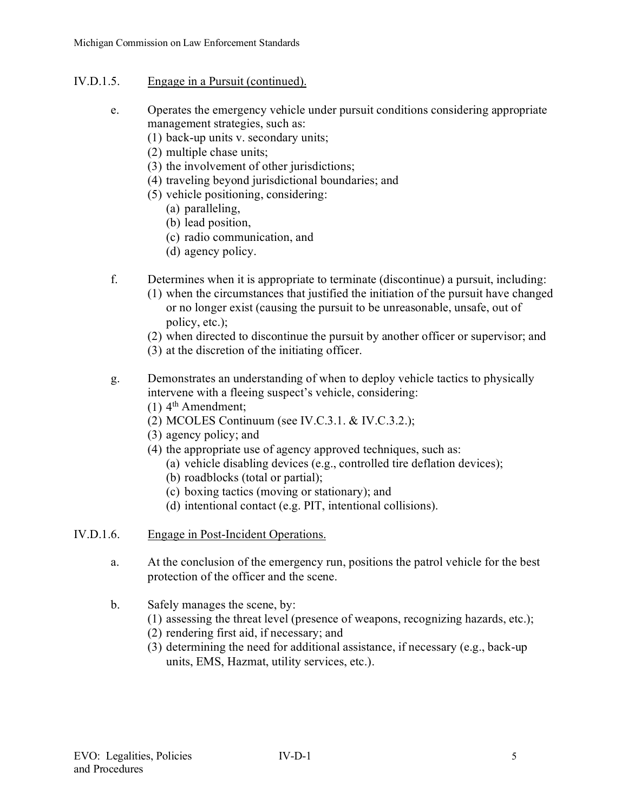- IV.D.1.5. Engage in a Pursuit (continued).
	- e. Operates the emergency vehicle under pursuit conditions considering appropriate management strategies, such as:
		- (1) back-up units v. secondary units;
		- (2) multiple chase units;
		- (3) the involvement of other jurisdictions;
		- (4) traveling beyond jurisdictional boundaries; and
		- (5) vehicle positioning, considering:
			- (a) paralleling,
			- (b) lead position,
			- (c) radio communication, and
			- (d) agency policy.
	- f. Determines when it is appropriate to terminate (discontinue) a pursuit, including:
		- (1) when the circumstances that justified the initiation of the pursuit have changed or no longer exist (causing the pursuit to be unreasonable, unsafe, out of policy, etc.);
		- (2) when directed to discontinue the pursuit by another officer or supervisor; and
		- (3) at the discretion of the initiating officer.
	- g. Demonstrates an understanding of when to deploy vehicle tactics to physically intervene with a fleeing suspect's vehicle, considering:
		- $(1)$  4<sup>th</sup> Amendment;
		- (2) MCOLES Continuum (see IV.C.3.1. & IV.C.3.2.);
		- (3) agency policy; and
		- (4) the appropriate use of agency approved techniques, such as:
			- (a) vehicle disabling devices (e.g., controlled tire deflation devices);
			- (b) roadblocks (total or partial);
			- (c) boxing tactics (moving or stationary); and
			- (d) intentional contact (e.g. PIT, intentional collisions).
- IV.D.1.6. Engage in Post-Incident Operations.
	- a. At the conclusion of the emergency run, positions the patrol vehicle for the best protection of the officer and the scene.
	- b. Safely manages the scene, by:
		- (1) assessing the threat level (presence of weapons, recognizing hazards, etc.);
		- (2) rendering first aid, if necessary; and
		- (3) determining the need for additional assistance, if necessary (e.g., back-up units, EMS, Hazmat, utility services, etc.).